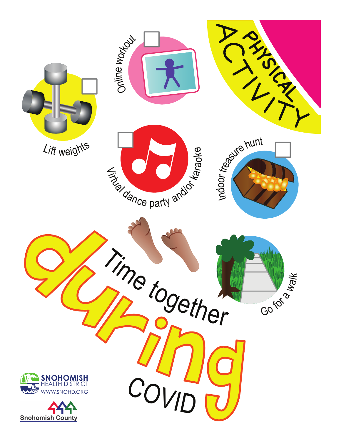